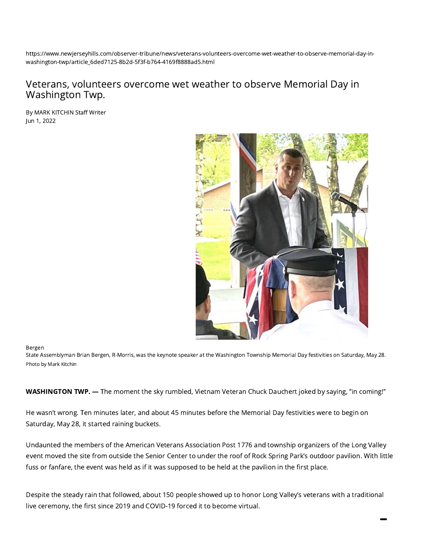https://www.newjerseyhills.com/observer-tribune/news/veterans-volunteers-overcome-wet-weather-to-observe-memorial-day-inwashington-twp/article\_6ded7125-8b2d-5f3f-b764-4169f8888ad5.html

## Veterans, volunteers overcome wet weather to observe Memorial Day in Washington Twp.

By MARK KITCHIN Staff Writer Jun 1, 2022



## Bergen

State Assemblyman Brian Bergen, R-Morris, was the keynote speaker at the Washington Township Memorial Day festivities on Saturday, May 28. Photo by Mark Kitchin

WASHINGTON TWP. — The moment the sky rumbled, Vietnam Veteran Chuck Dauchert joked by saying, "in coming!''

He wasn't wrong. Ten minutes later, and about 45 minutes before the Memorial Day festivities were to begin on Saturday, May 28, it started raining buckets.

Undaunted the members of the American Veterans Association Post 1776 and township organizers of the Long Valley event moved the site from outside the Senior Center to under the roof of Rock Spring Park's outdoor pavilion. With little fuss or fanfare, the event was held as if it was supposed to be held at the pavilion in the first place.

Despite the steady rain that followed, about 150 people showed up to honor Long Valley's veterans with a traditional live ceremony, the first since 2019 and COVID-19 forced it to become virtual.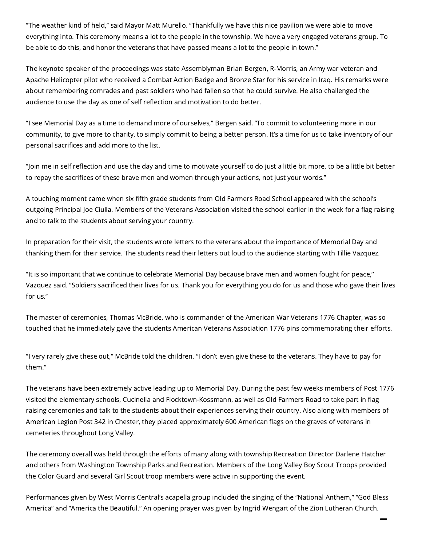"The weather kind of held,'' said Mayor Matt Murello. "Thankfully we have this nice pavilion we were able to move everything into. This ceremony means a lot to the people in the township. We have a very engaged veterans group. To be able to do this, and honor the veterans that have passed means a lot to the people in town.''

The keynote speaker of the proceedings was state Assemblyman Brian Bergen, R-Morris, an Army war veteran and Apache Helicopter pilot who received a Combat Action Badge and Bronze Star for his service in Iraq. His remarks were about remembering comrades and past soldiers who had fallen so that he could survive. He also challenged the audience to use the day as one of self reflection and motivation to do better.

"I see Memorial Day as a time to demand more of ourselves,'' Bergen said. "To commit to volunteering more in our community, to give more to charity, to simply commit to being a better person. It's a time for us to take inventory of our personal sacrifices and add more to the list.

"Join me in self reflection and use the day and time to motivate yourself to do just a little bit more, to be a little bit better to repay the sacrifices of these brave men and women through your actions, not just your words.''

A touching moment came when six fifth grade students from Old Farmers Road School appeared with the school's outgoing Principal Joe Ciulla. Members of the Veterans Association visited the school earlier in the week for a flag raising and to talk to the students about serving your country.

In preparation for their visit, the students wrote letters to the veterans about the importance of Memorial Day and thanking them for their service. The students read their letters out loud to the audience starting with Tillie Vazquez.

"It is so important that we continue to celebrate Memorial Day because brave men and women fought for peace,'' Vazquez said. "Soldiers sacrificed their lives for us. Thank you for everything you do for us and those who gave their lives for us.''

The master of ceremonies, Thomas McBride, who is commander of the American War Veterans 1776 Chapter, was so touched that he immediately gave the students American Veterans Association 1776 pins commemorating their efforts.

"I very rarely give these out,'' McBride told the children. "I don't even give these to the veterans. They have to pay for them.''

The veterans have been extremely active leading up to Memorial Day. During the past few weeks members of Post 1776 visited the elementary schools, Cucinella and Flocktown-Kossmann, as well as Old Farmers Road to take part in flag raising ceremonies and talk to the students about their experiences serving their country. Also along with members of American Legion Post 342 in Chester, they placed approximately 600 American flags on the graves of veterans in cemeteries throughout Long Valley.

The ceremony overall was held through the efforts of many along with township Recreation Director Darlene Hatcher and others from Washington Township Parks and Recreation. Members of the Long Valley Boy Scout Troops provided the Color Guard and several Girl Scout troop members were active in supporting the event.

Performances given by West Morris Central's acapella group included the singing of the "National Anthem," "God Bless America" and "America the Beautiful." An opening prayer was given by Ingrid Wengart of the Zion Lutheran Church.